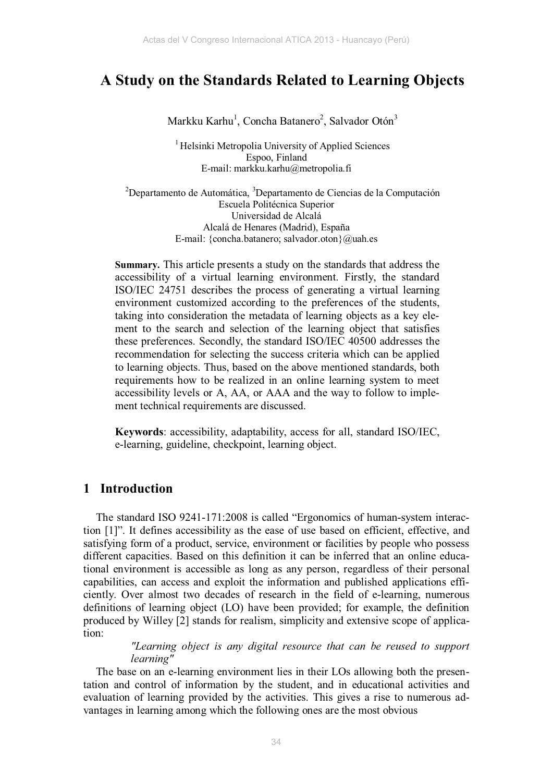# **A Study on the Standards Related to Learning Objects**

Markku Karhu<sup>1</sup>, Concha Batanero<sup>2</sup>, Salvador Otón<sup>3</sup>

<sup>1</sup> Helsinki Metropolia University of Applied Sciences Espoo, Finland E-mail: markku.karhu@metropolia.fi

<sup>2</sup>Departamento de Automática, <sup>3</sup>Departamento de Ciencias de la Computación Escuela Politécnica Superior Universidad de Alcalá Alcalá de Henares (Madrid), España E-mail: {concha.batanero; salvador.oton}@uah.es

**Summary.** This article presents a study on the standards that address the accessibility of a virtual learning environment. Firstly, the standard ISO/IEC 24751 describes the process of generating a virtual learning environment customized according to the preferences of the students, taking into consideration the metadata of learning objects as a key element to the search and selection of the learning object that satisfies these preferences. Secondly, the standard ISO/IEC 40500 addresses the recommendation for selecting the success criteria which can be applied to learning objects. Thus, based on the above mentioned standards, both requirements how to be realized in an online learning system to meet accessibility levels or A, AA, or AAA and the way to follow to implement technical requirements are discussed.

**Keywords**: accessibility, adaptability, access for all, standard ISO/IEC, e-learning, guideline, checkpoint, learning object.

## **1 Introduction**

The standard ISO 9241-171:2008 is called "Ergonomics of human-system interaction [1]". It defines accessibility as the ease of use based on efficient, effective, and satisfying form of a product, service, environment or facilities by people who possess different capacities. Based on this definition it can be inferred that an online educational environment is accessible as long as any person, regardless of their personal capabilities, can access and exploit the information and published applications efficiently. Over almost two decades of research in the field of e-learning, numerous definitions of learning object (LO) have been provided; for example, the definition produced by Willey [2] stands for realism, simplicity and extensive scope of application:

#### *"Learning object is any digital resource that can be reused to support learning"*

The base on an e-learning environment lies in their LOs allowing both the presentation and control of information by the student, and in educational activities and evaluation of learning provided by the activities. This gives a rise to numerous advantages in learning among which the following ones are the most obvious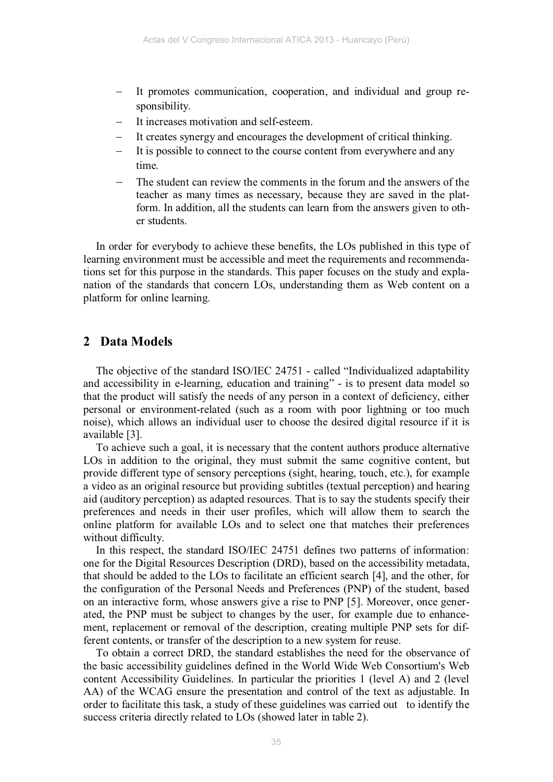- It promotes communication, cooperation, and individual and group responsibility.
- − It increases motivation and self-esteem.
- It creates synergy and encourages the development of critical thinking.
- It is possible to connect to the course content from everywhere and any time.
- The student can review the comments in the forum and the answers of the teacher as many times as necessary, because they are saved in the platform. In addition, all the students can learn from the answers given to other students.

In order for everybody to achieve these benefits, the LOs published in this type of learning environment must be accessible and meet the requirements and recommendations set for this purpose in the standards. This paper focuses on the study and explanation of the standards that concern LOs, understanding them as Web content on a platform for online learning.

### **2 Data Models**

The objective of the standard ISO/IEC 24751 - called "Individualized adaptability and accessibility in e-learning, education and training" - is to present data model so that the product will satisfy the needs of any person in a context of deficiency, either personal or environment-related (such as a room with poor lightning or too much noise), which allows an individual user to choose the desired digital resource if it is available [3].

To achieve such a goal, it is necessary that the content authors produce alternative LOs in addition to the original, they must submit the same cognitive content, but provide different type of sensory perceptions (sight, hearing, touch, etc.), for example a video as an original resource but providing subtitles (textual perception) and hearing aid (auditory perception) as adapted resources. That is to say the students specify their preferences and needs in their user profiles, which will allow them to search the online platform for available LOs and to select one that matches their preferences without difficulty.

In this respect, the standard ISO/IEC 24751 defines two patterns of information: one for the Digital Resources Description (DRD), based on the accessibility metadata, that should be added to the LOs to facilitate an efficient search [4], and the other, for the configuration of the Personal Needs and Preferences (PNP) of the student, based on an interactive form, whose answers give a rise to PNP [5]. Moreover, once generated, the PNP must be subject to changes by the user, for example due to enhancement, replacement or removal of the description, creating multiple PNP sets for different contents, or transfer of the description to a new system for reuse.

To obtain a correct DRD, the standard establishes the need for the observance of the basic accessibility guidelines defined in the World Wide Web Consortium's Web content Accessibility Guidelines. In particular the priorities 1 (level A) and 2 (level AA) of the WCAG ensure the presentation and control of the text as adjustable. In order to facilitate this task, a study of these guidelines was carried out to identify the success criteria directly related to LOs (showed later in table 2).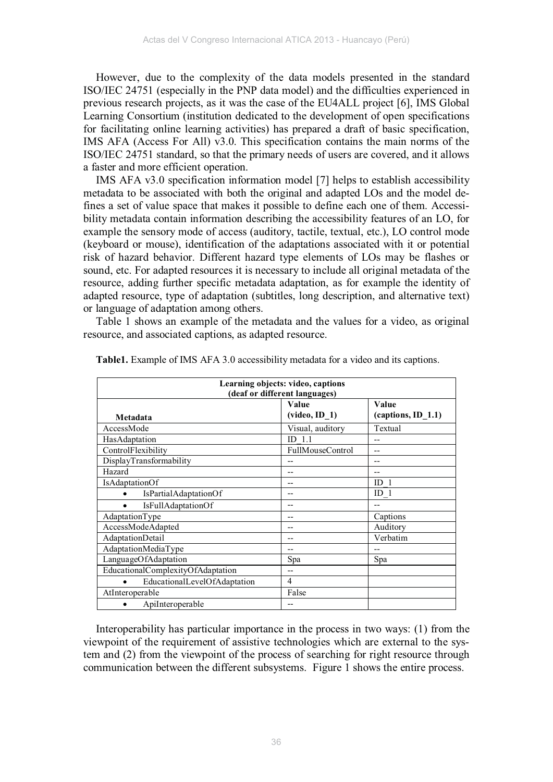However, due to the complexity of the data models presented in the standard ISO/IEC 24751 (especially in the PNP data model) and the difficulties experienced in previous research projects, as it was the case of the EU4ALL project [6], IMS Global Learning Consortium (institution dedicated to the development of open specifications for facilitating online learning activities) has prepared a draft of basic specification, IMS AFA (Access For All) v3.0. This specification contains the main norms of the ISO/IEC 24751 standard, so that the primary needs of users are covered, and it allows a faster and more efficient operation.

IMS AFA v3.0 specification information model [7] helps to establish accessibility metadata to be associated with both the original and adapted LOs and the model defines a set of value space that makes it possible to define each one of them. Accessibility metadata contain information describing the accessibility features of an LO, for example the sensory mode of access (auditory, tactile, textual, etc.), LO control mode (keyboard or mouse), identification of the adaptations associated with it or potential risk of hazard behavior. Different hazard type elements of LOs may be flashes or sound, etc. For adapted resources it is necessary to include all original metadata of the resource, adding further specific metadata adaptation, as for example the identity of adapted resource, type of adaptation (subtitles, long description, and alternative text) or language of adaptation among others.

Table 1 shows an example of the metadata and the values for a video, as original resource, and associated captions, as adapted resource.

| Learning objects: video, captions<br>(deaf or different languages) |                                      |                      |  |
|--------------------------------------------------------------------|--------------------------------------|----------------------|--|
|                                                                    | Value                                | Value                |  |
| Metadata                                                           | $(\text{video}, \text{ID} \space 1)$ | $(captions, ID_1.1)$ |  |
| AccessMode                                                         | Visual, auditory                     | Textual              |  |
| HasAdaptation                                                      | 1.1<br>ID.                           |                      |  |
| ControlFlexibility                                                 | <b>FullMouseControl</b>              | --                   |  |
| DisplayTransformability                                            |                                      |                      |  |
| Hazard                                                             |                                      |                      |  |
| IsAdaptationOf                                                     |                                      | ID <sub>1</sub>      |  |
| IsPartialAdaptationOf                                              |                                      | ID <sub>1</sub>      |  |
| <b>IsFullAdaptationOf</b>                                          | --                                   |                      |  |
| AdaptationType                                                     |                                      | Captions             |  |
| AccessModeAdapted                                                  |                                      | Auditory             |  |
| AdaptationDetail                                                   |                                      | Verbatim             |  |
| AdaptationMediaType                                                |                                      |                      |  |
| LanguageOfAdaptation                                               | Spa                                  | Spa                  |  |
| EducationalComplexityOfAdaptation                                  | --                                   |                      |  |
| EducationalLevelOfAdaptation                                       | $\overline{4}$                       |                      |  |
| AtInteroperable                                                    | False                                |                      |  |
| ApiInteroperable                                                   |                                      |                      |  |

**Table1.** Example of IMS AFA 3.0 accessibility metadata for a video and its captions.

Interoperability has particular importance in the process in two ways: (1) from the viewpoint of the requirement of assistive technologies which are external to the system and (2) from the viewpoint of the process of searching for right resource through communication between the different subsystems. Figure 1 shows the entire process.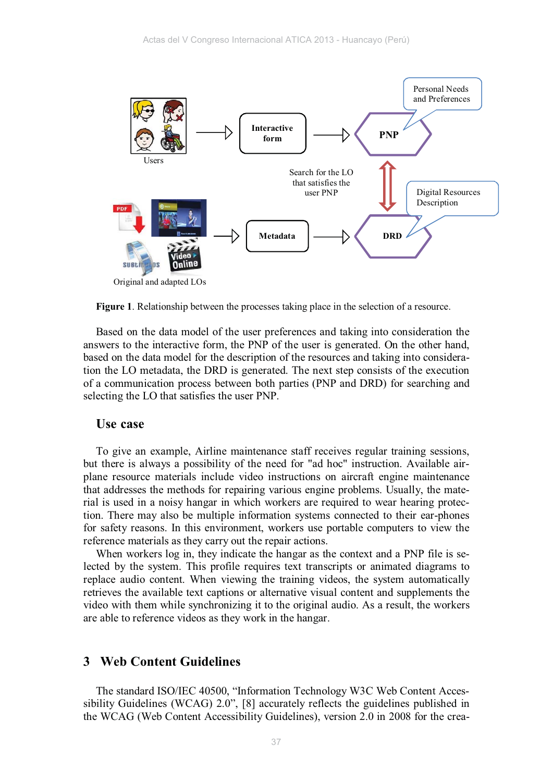

**Figure 1**. Relationship between the processes taking place in the selection of a resource.

Based on the data model of the user preferences and taking into consideration the answers to the interactive form, the PNP of the user is generated. On the other hand, based on the data model for the description of the resources and taking into consideration the LO metadata, the DRD is generated. The next step consists of the execution of a communication process between both parties (PNP and DRD) for searching and selecting the LO that satisfies the user PNP.

#### **Use case**

To give an example, Airline maintenance staff receives regular training sessions, but there is always a possibility of the need for "ad hoc" instruction. Available airplane resource materials include video instructions on aircraft engine maintenance that addresses the methods for repairing various engine problems. Usually, the material is used in a noisy hangar in which workers are required to wear hearing protection. There may also be multiple information systems connected to their ear-phones for safety reasons. In this environment, workers use portable computers to view the reference materials as they carry out the repair actions.

When workers log in, they indicate the hangar as the context and a PNP file is selected by the system. This profile requires text transcripts or animated diagrams to replace audio content. When viewing the training videos, the system automatically retrieves the available text captions or alternative visual content and supplements the video with them while synchronizing it to the original audio. As a result, the workers are able to reference videos as they work in the hangar.

#### **3 Web Content Guidelines**

The standard ISO/IEC 40500, "Information Technology W3C Web Content Accessibility Guidelines (WCAG) 2.0", [8] accurately reflects the guidelines published in the WCAG (Web Content Accessibility Guidelines), version 2.0 in 2008 for the crea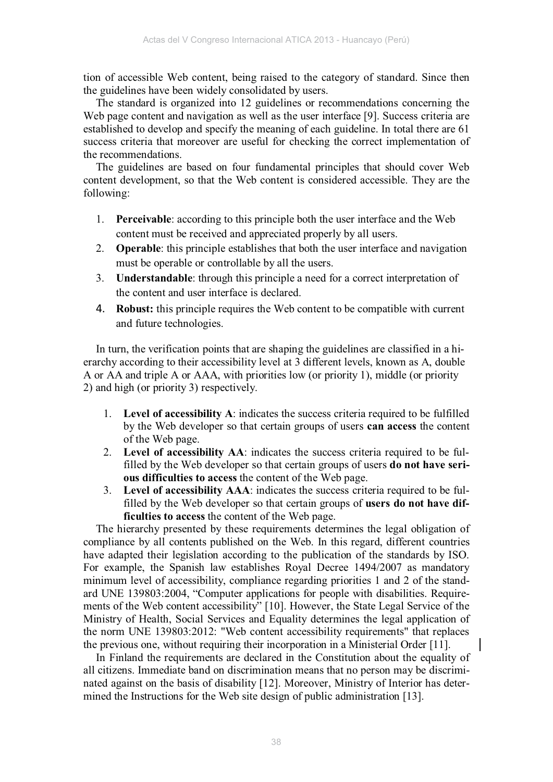tion of accessible Web content, being raised to the category of standard. Since then the guidelines have been widely consolidated by users.

The standard is organized into 12 guidelines or recommendations concerning the Web page content and navigation as well as the user interface [9]. Success criteria are established to develop and specify the meaning of each guideline. In total there are 61 success criteria that moreover are useful for checking the correct implementation of the recommendations.

The guidelines are based on four fundamental principles that should cover Web content development, so that the Web content is considered accessible. They are the following:

- 1. **Perceivable**: according to this principle both the user interface and the Web content must be received and appreciated properly by all users.
- 2. **Operable**: this principle establishes that both the user interface and navigation must be operable or controllable by all the users.
- 3. **Understandable**: through this principle a need for a correct interpretation of the content and user interface is declared.
- 4. **Robust:** this principle requires the Web content to be compatible with current and future technologies.

In turn, the verification points that are shaping the guidelines are classified in a hierarchy according to their accessibility level at 3 different levels, known as A, double A or AA and triple A or AAA, with priorities low (or priority 1), middle (or priority 2) and high (or priority 3) respectively.

- 1. **Level of accessibility A**: indicates the success criteria required to be fulfilled by the Web developer so that certain groups of users **can access** the content of the Web page.
- 2. **Level of accessibility AA**: indicates the success criteria required to be fulfilled by the Web developer so that certain groups of users **do not have serious difficulties to access** the content of the Web page.
- 3. **Level of accessibility AAA**: indicates the success criteria required to be fulfilled by the Web developer so that certain groups of **users do not have difficulties to access** the content of the Web page.

The hierarchy presented by these requirements determines the legal obligation of compliance by all contents published on the Web. In this regard, different countries have adapted their legislation according to the publication of the standards by ISO. For example, the Spanish law establishes Royal Decree 1494/2007 as mandatory minimum level of accessibility, compliance regarding priorities 1 and 2 of the standard UNE 139803:2004, "Computer applications for people with disabilities. Requirements of the Web content accessibility" [10]. However, the State Legal Service of the Ministry of Health, Social Services and Equality determines the legal application of the norm UNE 139803:2012: "Web content accessibility requirements" that replaces the previous one, without requiring their incorporation in a Ministerial Order [11].

In Finland the requirements are declared in the Constitution about the equality of all citizens. Immediate band on discrimination means that no person may be discriminated against on the basis of disability [12]. Moreover, Ministry of Interior has determined the Instructions for the Web site design of public administration [13].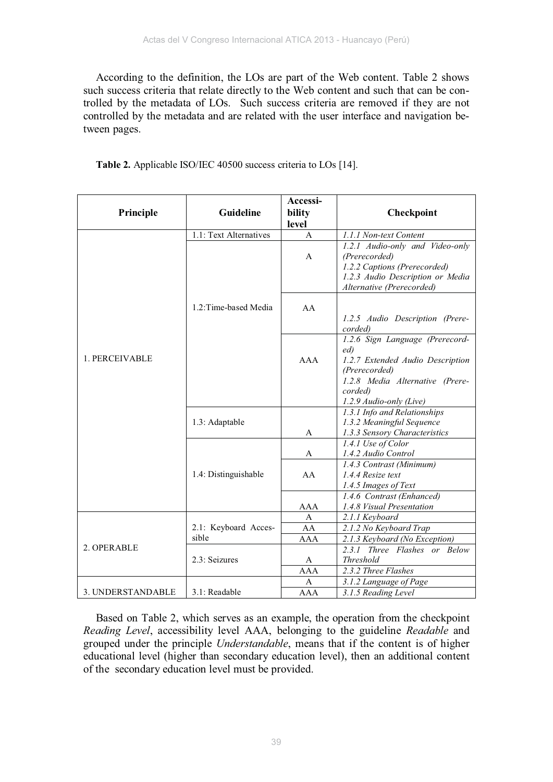According to the definition, the LOs are part of the Web content. Table 2 shows such success criteria that relate directly to the Web content and such that can be controlled by the metadata of LOs. Such success criteria are removed if they are not controlled by the metadata and are related with the user interface and navigation between pages.

| Principle         | Guideline                     | Accessi-<br>bility<br>level | Checkpoint                                                                                                                                        |
|-------------------|-------------------------------|-----------------------------|---------------------------------------------------------------------------------------------------------------------------------------------------|
|                   | 1.1: Text Alternatives        | $\mathbf{A}$                | 1.1.1 Non-text Content                                                                                                                            |
| 1. PERCEIVABLE    |                               | A                           | 1.2.1 Audio-only and Video-only<br>(Prerecorded)<br>1.2.2 Captions (Prerecorded)<br>1.2.3 Audio Description or Media<br>Alternative (Prerecorded) |
|                   | 1.2: Time-based Media         | AA                          | 1.2.5 Audio Description (Prere-<br>corded)                                                                                                        |
|                   |                               | AAA                         | 1.2.6 Sign Language (Prerecord-<br>ed)<br>1.2.7 Extended Audio Description<br>(Prerecorded)<br>1.2.8 Media Alternative (Prere-<br>corded)         |
|                   | 1.3: Adaptable                | A                           | 1.2.9 Audio-only (Live)<br>1.3.1 Info and Relationships<br>1.3.2 Meaningful Sequence<br>1.3.3 Sensory Characteristics                             |
|                   |                               | A                           | 1.4.1 Use of Color<br>1.4.2 Audio Control                                                                                                         |
|                   | 1.4: Distinguishable          | AA                          | 1.4.3 Contrast (Minimum)<br>1.4.4 Resize text<br>1.4.5 Images of Text                                                                             |
|                   |                               | AAA                         | 1.4.6 Contrast (Enhanced)<br>1.4.8 Visual Presentation                                                                                            |
| 2. OPERABLE       | 2.1: Keyboard Acces-<br>sible | A<br>AA                     | 2.1.1 Keyboard                                                                                                                                    |
|                   |                               | <b>AAA</b>                  | 2.1.2 No Keyboard Trap<br>2.1.3 Keyboard (No Exception)                                                                                           |
|                   | 2.3: Seizures                 | A                           | 2.3.1 Three Flashes or Below<br>Threshold                                                                                                         |
|                   |                               | <b>AAA</b>                  | 2.3.2 Three Flashes                                                                                                                               |
|                   |                               | A                           | 3.1.2 Language of Page                                                                                                                            |
| 3. UNDERSTANDABLE | 3.1: Readable                 | <b>AAA</b>                  | 3.1.5 Reading Level                                                                                                                               |

**Table 2.** Applicable ISO/IEC 40500 success criteria to LOs [14].

Based on Table 2, which serves as an example, the operation from the checkpoint *Reading Level*, accessibility level AAA, belonging to the guideline *Readable* and grouped under the principle *Understandable*, means that if the content is of higher educational level (higher than secondary education level), then an additional content of the secondary education level must be provided.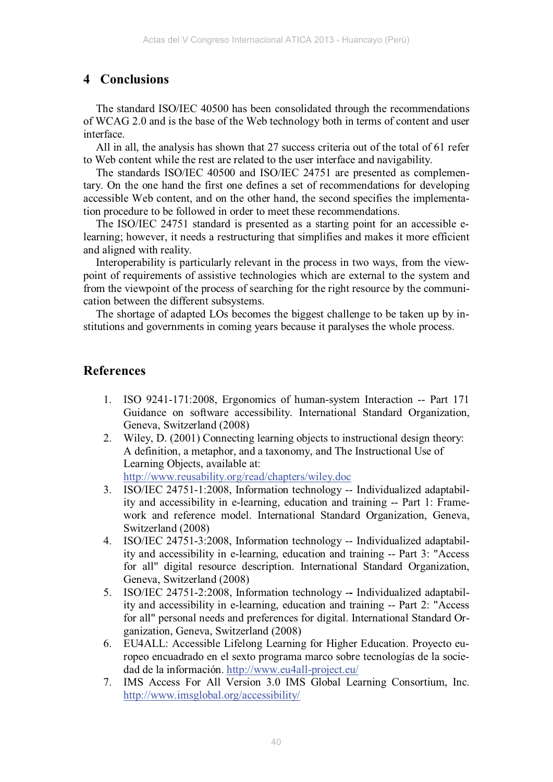## **4 Conclusions**

The standard ISO/IEC 40500 has been consolidated through the recommendations of WCAG 2.0 and is the base of the Web technology both in terms of content and user interface.

All in all, the analysis has shown that 27 success criteria out of the total of 61 refer to Web content while the rest are related to the user interface and navigability.

The standards ISO/IEC 40500 and ISO/IEC 24751 are presented as complementary. On the one hand the first one defines a set of recommendations for developing accessible Web content, and on the other hand, the second specifies the implementation procedure to be followed in order to meet these recommendations.

The ISO/IEC 24751 standard is presented as a starting point for an accessible elearning; however, it needs a restructuring that simplifies and makes it more efficient and aligned with reality.

Interoperability is particularly relevant in the process in two ways, from the viewpoint of requirements of assistive technologies which are external to the system and from the viewpoint of the process of searching for the right resource by the communication between the different subsystems.

The shortage of adapted LOs becomes the biggest challenge to be taken up by institutions and governments in coming years because it paralyses the whole process.

## **References**

- 1. ISO 9241-171:2008, Ergonomics of human-system Interaction -- Part 171 Guidance on software accessibility. International Standard Organization, Geneva, Switzerland (2008)
- 2. Wiley, D. (2001) Connecting learning objects to instructional design theory: A definition, a metaphor, and a taxonomy, and The Instructional Use of Learning Objects, available at: http://www.reusability.org/read/chapters/wiley.doc
- 3. ISO/IEC 24751-1:2008, Information technology -- Individualized adaptability and accessibility in e-learning, education and training -- Part 1: Framework and reference model. International Standard Organization, Geneva, Switzerland (2008)
- 4. ISO/IEC 24751-3:2008, Information technology -- Individualized adaptability and accessibility in e-learning, education and training -- Part 3: "Access for all" digital resource description. International Standard Organization, Geneva, Switzerland (2008)
- 5. ISO/IEC 24751-2:2008, Information technology -**-** Individualized adaptability and accessibility in e-learning, education and training -- Part 2: "Access for all" personal needs and preferences for digital. International Standard Organization, Geneva, Switzerland (2008)
- 6. EU4ALL: Accessible Lifelong Learning for Higher Education. Proyecto europeo encuadrado en el sexto programa marco sobre tecnologías de la sociedad de la información. http://www.eu4all-project.eu/
- 7. IMS Access For All Version 3.0 IMS Global Learning Consortium, Inc. http://www.imsglobal.org/accessibility/